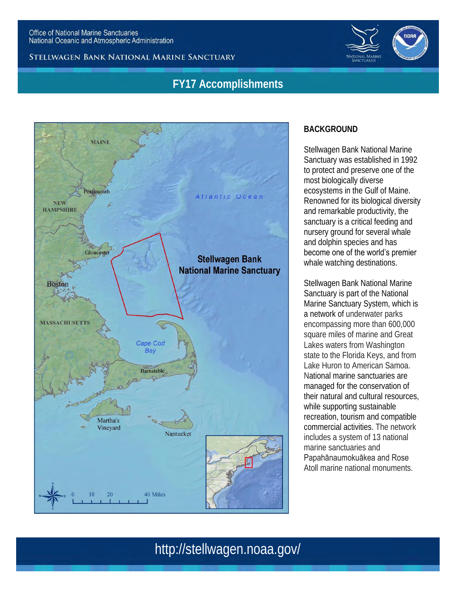#### STELLWAGEN BANK NATIONAL MARINE SANCTUARY

## **FY17 Accomplishments**



### **BACKGROUND**

Stellwagen Bank National Marine Sanctuary was established in 1992 to protect and preserve one of the most biologically diverse ecosystems in the Gulf of Maine. Renowned for its biological diversity and remarkable productivity, the sanctuary is a critical feeding and nursery ground for several whale and dolphin species and has become one of the world's premier whale watching destinations.

Stellwagen Bank National Marine Sanctuary is part of the National Marine Sanctuary System, which is a network of underwater parks encompassing more than 600,000 square miles of marine and Great Lakes waters from Washington state to the Florida Keys, and from Lake Huron to American Samoa. National marine sanctuaries are managed for the conservation of their natural and cultural resources, while supporting sustainable recreation, tourism and compatible commercial activities. The network includes a system of 13 national marine sanctuaries and Papahānaumokuākea and Rose

Atoll marine national monuments.

# http://stellwagen.noaa.gov/